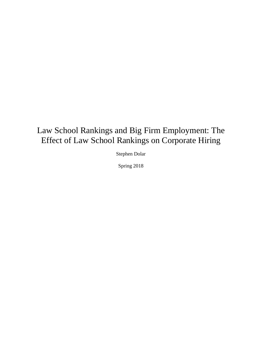# Law School Rankings and Big Firm Employment: The Effect of Law School Rankings on Corporate Hiring

Stephen Dolar

Spring 2018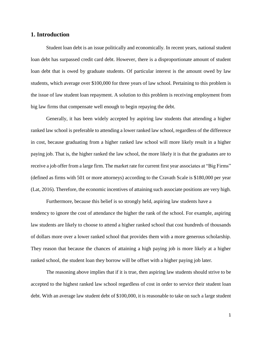### **1. Introduction**

Student loan debt is an issue politically and economically. In recent years, national student loan debt has surpassed credit card debt. However, there is a disproportionate amount of student loan debt that is owed by graduate students. Of particular interest is the amount owed by law students, which average over \$100,000 for three years of law school. Pertaining to this problem is the issue of law student loan repayment. A solution to this problem is receiving employment from big law firms that compensate well enough to begin repaying the debt.

Generally, it has been widely accepted by aspiring law students that attending a higher ranked law school is preferable to attending a lower ranked law school, regardless of the difference in cost, because graduating from a higher ranked law school will more likely result in a higher paying job. That is, the higher ranked the law school, the more likely it is that the graduates are to receive a job offer from a large firm. The market rate for current first year associates at "Big Firms" (defined as firms with 501 or more attorneys) according to the Cravath Scale is \$180,000 per year (Lat, 2016). Therefore, the economic incentives of attaining such associate positions are very high.

Furthermore, because this belief is so strongly held, aspiring law students have a tendency to ignore the cost of attendance the higher the rank of the school. For example, aspiring law students are likely to choose to attend a higher ranked school that cost hundreds of thousands of dollars more over a lower ranked school that provides them with a more generous scholarship. They reason that because the chances of attaining a high paying job is more likely at a higher ranked school, the student loan they borrow will be offset with a higher paying job later.

The reasoning above implies that if it is true, then aspiring law students should strive to be accepted to the highest ranked law school regardless of cost in order to service their student loan debt. With an average law student debt of \$100,000, it is reasonable to take on such a large student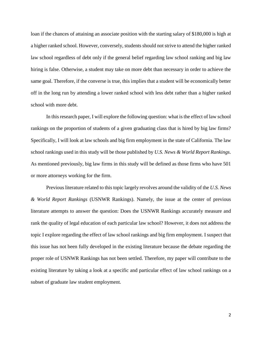loan if the chances of attaining an associate position with the starting salary of \$180,000 is high at a higher ranked school. However, conversely, students should not strive to attend the higher ranked law school regardless of debt only if the general belief regarding law school ranking and big law hiring is false. Otherwise, a student may take on more debt than necessary in order to achieve the same goal. Therefore, if the converse is true, this implies that a student will be economically better off in the long run by attending a lower ranked school with less debt rather than a higher ranked school with more debt.

In this research paper, I will explore the following question: what is the effect of law school rankings on the proportion of students of a given graduating class that is hired by big law firms? Specifically, I will look at law schools and big firm employment in the state of California. The law school rankings used in this study will be those published by *U.S. News & World Report Rankings*. As mentioned previously, big law firms in this study will be defined as those firms who have 501 or more attorneys working for the firm.

Previous literature related to this topic largely revolves around the validity of the *U.S. News & World Report Rankings* (USNWR Rankings). Namely, the issue at the center of previous literature attempts to answer the question: Does the USNWR Rankings accurately measure and rank the quality of legal education of each particular law school? However, it does not address the topic I explore regarding the effect of law school rankings and big firm employment. I suspect that this issue has not been fully developed in the existing literature because the debate regarding the proper role of USNWR Rankings has not been settled. Therefore, my paper will contribute to the existing literature by taking a look at a specific and particular effect of law school rankings on a subset of graduate law student employment.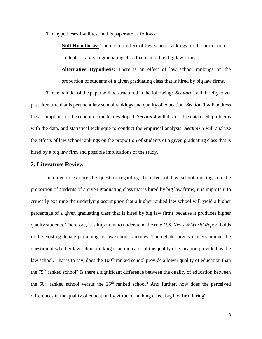The hypotheses I will test in this paper are as follows:

**Null Hypothesis:** There is no effect of law school rankings on the proportion of students of a given graduating class that is hired by big law firms.

**Alternative Hypothesis:** There is an effect of law school rankings on the proportion of students of a given graduating class that is hired by big law firms.

The remainder of the paper will be structured in the following: *Section 2* will briefly cover past literature that is pertinent law school rankings and quality of education. *Section 3* will address the assumptions of the economic model developed. *Section 4* will discuss the data used, problems with the data, and statistical technique to conduct the empirical analysis. *Section* 5 will analyze the effects of law school rankings on the proportion of students of a given graduating class that is hired by a big law firm and possible implications of the study.

#### **2. Literature Review**

In order to explore the question regarding the effect of law school rankings on the proportion of students of a given graduating class that is hired by big law firms, it is important to critically examine the underlying assumption that a higher ranked law school will yield a higher percentage of a given graduating class that is hired by big law firms because it produces higher quality students. Therefore, it is important to understand the role *U.S. News & World Report* holds in the existing debate pertaining to law school rankings. The debate largely centers around the question of whether law school ranking is an indicator of the quality of education provided by the law school. That is to say, does the  $100<sup>th</sup>$  ranked school provide a lower quality of education than the 75th ranked school? Is there a significant difference between the quality of education between the  $50<sup>th</sup>$  ranked school versus the  $25<sup>th</sup>$  ranked school? And further, how does the perceived differences in the quality of education by virtue of ranking effect big law firm hiring?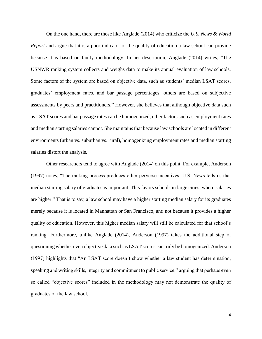On the one hand, there are those like Anglade (2014) who criticize the *U.S. News & World Report* and argue that it is a poor indicator of the quality of education a law school can provide because it is based on faulty methodology. In her description, Anglade (2014) writes, "The USNWR ranking system collects and weighs data to make its annual evaluation of law schools. Some factors of the system are based on objective data, such as students' median LSAT scores, graduates' employment rates, and bar passage percentages; others are based on subjective assessments by peers and practitioners." However, she believes that although objective data such as LSAT scores and bar passage rates can be homogenized, other factors such as employment rates and median starting salaries cannot. She maintains that because law schools are located in different environments (urban vs. suburban vs. rural), homogenizing employment rates and median starting salaries distort the analysis.

Other researchers tend to agree with Anglade (2014) on this point. For example, Anderson (1997) notes, "The ranking process produces other perverse incentives: U.S. News tells us that median starting salary of graduates is important. This favors schools in large cities, where salaries are higher." That is to say, a law school may have a higher starting median salary for its graduates merely because it is located in Manhattan or San Francisco, and not because it provides a higher quality of education. However, this higher median salary will still be calculated for that school's ranking. Furthermore, unlike Anglade (2014), Anderson (1997) takes the additional step of questioning whether even objective data such as LSAT scores can truly be homogenized. Anderson (1997) highlights that "An LSAT score doesn't show whether a law student has determination, speaking and writing skills, integrity and commitment to public service," arguing that perhaps even so called "objective scores" included in the methodology may not demonstrate the quality of graduates of the law school.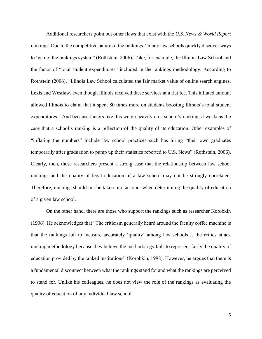Additional researchers point out other flaws that exist with the *U.S. News & World Report* rankings. Due to the competitive nature of the rankings, "many law schools quickly discover ways to 'game' the rankings system" (Rothstein, 2006). Take, for example, the Illinois Law School and the factor of "total student expenditures" included in the rankings methodology. According to Rothstein (2006), "Illinois Law School calculated the fair market value of online search engines, Lexis and Westlaw, even though Illinois received these services at a flat fee. This inflated amount allowed Illinois to claim that it spent 80 times more on students boosting Illinois's total student expenditures." And because factors like this weigh heavily on a school's ranking, it weakens the case that a school's ranking is a reflection of the quality of its education. Other examples of "inflating the numbers" include law school practices such has hiring "their own graduates temporarily after graduation to pump up their statistics reported to U.S. News" (Rothstein, 2006). Clearly, then, these researchers present a strong case that the relationship between law school rankings and the quality of legal education of a law school may not be strongly correlated. Therefore, rankings should not be taken into account when determining the quality of education of a given law school.

On the other hand, there are those who support the rankings such as researcher Korobkin (1998). He acknowledges that "The criticism generally heard around the faculty coffee machine is that the rankings fail to measure accurately 'quality' among law schools… the critics attack ranking methodology because they believe the methodology fails to represent fairly the quality of education provided by the ranked institutions" (Korobkin, 1998). However, he argues that there is a fundamental disconnect between what the rankings stand for and what the rankings are perceived to stand for. Unlike his colleagues, he does not view the role of the rankings as evaluating the quality of education of any individual law school.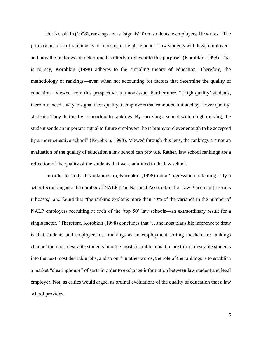For Korobkin (1998), rankings act as "signals" from students to employers. He writes, "The primary purpose of rankings is to coordinate the placement of law students with legal employers, and how the rankings are determined is utterly irrelevant to this purpose" (Korobkin, 1998). That is to say, Korobkin (1998) adheres to the signaling theory of education. Therefore, the methodology of rankings—even when not accounting for factors that determine the quality of education—viewed from this perspective is a non-issue. Furthermore, "'High quality' students, therefore, need a way to signal their quality to employers that cannot be imitated by 'lower quality' students. They do this by responding to rankings. By choosing a school with a high ranking, the student sends an important signal to future employers: he is brainy or clever enough to be accepted by a more selective school" (Korobkin, 1998). Viewed through this lens, the rankings are not an evaluation of the quality of education a law school can provide. Rather, law school rankings are a reflection of the quality of the students that were admitted to the law school.

In order to study this relationship, Korobkin (1998) ran a "regression containing only a school's ranking and the number of NALP [The National Association for Law Placement] recruits it boasts," and found that "the ranking explains more than 70% of the variance in the number of NALP employers recruiting at each of the 'top 50' law schools—an extraordinary result for a single factor." Therefore, Korobkin (1998) concludes that "…the most plausible inference to draw is that students and employers use rankings as an employment sorting mechanism: rankings channel the most desirable students into the most desirable jobs, the next most desirable students into the next most desirable jobs, and so on." In other words, the role of the rankings is to establish a market "clearinghouse" of sorts in order to exchange information between law student and legal employer. Not, as critics would argue, as ordinal evaluations of the quality of education that a law school provides.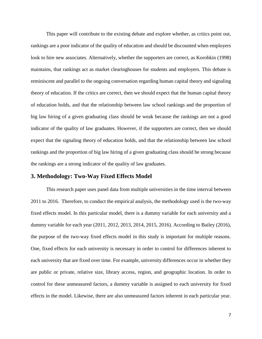This paper will contribute to the existing debate and explore whether, as critics point out, rankings are a poor indicator of the quality of education and should be discounted when employers look to hire new associates. Alternatively, whether the supporters are correct, as Korobkin (1998) maintains, that rankings act as market clearinghouses for students and employers. This debate is reminiscent and parallel to the ongoing conversation regarding human capital theory and signaling theory of education. If the critics are correct, then we should expect that the human capital theory of education holds, and that the relationship between law school rankings and the proportion of big law hiring of a given graduating class should be weak because the rankings are not a good indicator of the quality of law graduates. However, if the supporters are correct, then we should expect that the signaling theory of education holds, and that the relationship between law school rankings and the proportion of big law hiring of a given graduating class should be strong because the rankings are a strong indicator of the quality of law graduates.

#### **3. Methodology: Two-Way Fixed Effects Model**

This research paper uses panel data from multiple universities in the time interval between 2011 to 2016. Therefore, to conduct the empirical analysis, the methodology used is the two-way fixed effects model. In this particular model, there is a dummy variable for each university and a dummy variable for each year (2011, 2012, 2013, 2014, 2015, 2016). According to Bailey (2016), the purpose of the two-way fixed effects model in this study is important for multiple reasons. One, fixed effects for each university is necessary in order to control for differences inherent to each university that are fixed over time. For example, university differences occur in whether they are public or private, relative size, library access, region, and geographic location. In order to control for these unmeasured factors, a dummy variable is assigned to each university for fixed effects in the model. Likewise, there are also unmeasured factors inherent in each particular year.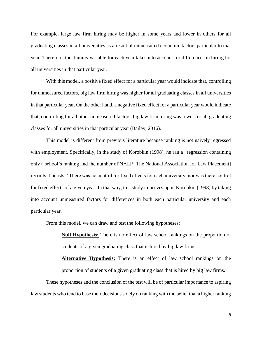For example, large law firm hiring may be higher in some years and lower in others for all graduating classes in all universities as a result of unmeasured economic factors particular to that year. Therefore, the dummy variable for each year takes into account for differences in hiring for all universities in that particular year.

With this model, a positive fixed effect for a particular year would indicate that, controlling for unmeasured factors, big law firm hiring was higher for all graduating classes in all universities in that particular year. On the other hand, a negative fixed effect for a particular year would indicate that, controlling for all other unmeasured factors, big law firm hiring was lower for all graduating classes for all universities in that particular year (Bailey, 2016).

This model is different from previous literature because ranking is not naively regressed with employment. Specifically, in the study of Korobkin (1998), he ran a "regression containing only a school's ranking and the number of NALP [The National Association for Law Placement] recruits it boasts." There was no control for fixed effects for each university, nor was there control for fixed effects of a given year. In that way, this study improves upon Korobkin (1998) by taking into account unmeasured factors for differences in both each particular university and each particular year.

From this model, we can draw and test the following hypotheses:

**Null Hypothesis:** There is no effect of law school rankings on the proportion of students of a given graduating class that is hired by big law firms.

**Alternative Hypothesis:** There is an effect of law school rankings on the proportion of students of a given graduating class that is hired by big law firms.

These hypotheses and the conclusion of the test will be of particular importance to aspiring law students who tend to base their decisions solely on ranking with the belief that a higher ranking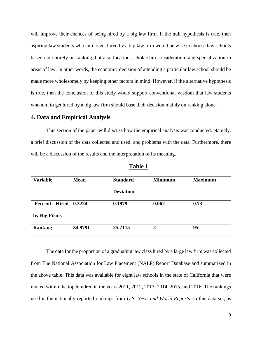will improve their chances of being hired by a big law firm. If the null hypothesis is true, then aspiring law students who aim to get hired by a big law firm would be wise to choose law schools based not entirely on ranking, but also location, scholarship consideration, and specialization in areas of law. In other words, the economic decision of attending a particular law school should be made more wholesomely by keeping other factors in mind. However, if the alternative hypothesis is true, then the conclusion of this study would support conventional wisdom that law students who aim to get hired by a big law firm should base their decision mainly on ranking alone.

#### **4. Data and Empirical Analysis**

This section of the paper will discuss how the empirical analysis was conducted. Namely, a brief discussion of the data collected and used, and problems with the data. Furthermore, there will be a discussion of the results and the interpretation of its meaning.

| <b>Variable</b>        | <b>Mean</b> | <b>Standard</b>  | <b>Minimum</b> | <b>Maximum</b> |
|------------------------|-------------|------------------|----------------|----------------|
|                        |             | <b>Deviation</b> |                |                |
| Percent Hired   0.3224 |             | 0.1979           | 0.062          | 0.73           |
| by Big Firms           |             |                  |                |                |
| <b>Ranking</b>         | 34.9791     | 25.7115          | $\overline{2}$ | 95             |
|                        |             |                  |                |                |

**Table 1**

The data for the proportion of a graduating law class hired by a large law firm was collected from The National Association for Law Placement (NALP) Report Database and summarized in the above table. This data was available for eight law schools in the state of California that were ranked within the top hundred in the years 2011, 2012, 2013, 2014, 2015, and 2016. The rankings used is the nationally reported rankings from *U.S. News and World Reports*. In this data set, as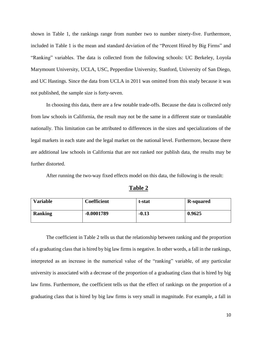shown in Table 1, the rankings range from number two to number ninety-five. Furthermore, included in Table 1 is the mean and standard deviation of the "Percent Hired by Big Firms" and "Ranking" variables. The data is collected from the following schools: UC Berkeley, Loyola Marymount University, UCLA, USC, Pepperdine University, Stanford, University of San Diego, and UC Hastings. Since the data from UCLA in 2011 was omitted from this study because it was not published, the sample size is forty-seven.

In choosing this data, there are a few notable trade-offs. Because the data is collected only from law schools in California, the result may not be the same in a different state or translatable nationally. This limitation can be attributed to differences in the sizes and specializations of the legal markets in each state and the legal market on the national level. Furthermore, because there are additional law schools in California that are not ranked nor publish data, the results may be further distorted.

After running the two-way fixed effects model on this data, the following is the result:

| ο<br>me<br>н |
|--------------|
|--------------|

| <b>Variable</b> | Coefficient  | t-stat  | <b>R-squared</b> |
|-----------------|--------------|---------|------------------|
| <b>Ranking</b>  | $-0.0001789$ | $-0.13$ | 0.9625           |

The coefficient in Table 2 tells us that the relationship between ranking and the proportion of a graduating class that is hired by big law firms is negative. In other words, a fall in the rankings, interpreted as an increase in the numerical value of the "ranking" variable, of any particular university is associated with a decrease of the proportion of a graduating class that is hired by big law firms. Furthermore, the coefficient tells us that the effect of rankings on the proportion of a graduating class that is hired by big law firms is very small in magnitude. For example, a fall in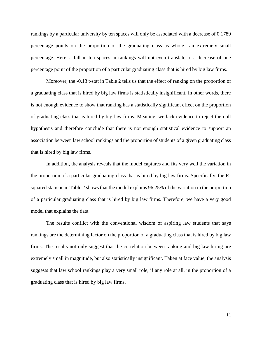rankings by a particular university by ten spaces will only be associated with a decrease of 0.1789 percentage points on the proportion of the graduating class as whole—an extremely small percentage. Here, a fall in ten spaces in rankings will not even translate to a decrease of one percentage point of the proportion of a particular graduating class that is hired by big law firms.

Moreover, the -0.13 t-stat in Table 2 tells us that the effect of ranking on the proportion of a graduating class that is hired by big law firms is statistically insignificant. In other words, there is not enough evidence to show that ranking has a statistically significant effect on the proportion of graduating class that is hired by big law firms. Meaning, we lack evidence to reject the null hypothesis and therefore conclude that there is not enough statistical evidence to support an association between law school rankings and the proportion of students of a given graduating class that is hired by big law firms.

In addition, the analysis reveals that the model captures and fits very well the variation in the proportion of a particular graduating class that is hired by big law firms. Specifically, the Rsquared statistic in Table 2 shows that the model explains 96.25% of the variation in the proportion of a particular graduating class that is hired by big law firms. Therefore, we have a very good model that explains the data.

The results conflict with the conventional wisdom of aspiring law students that says rankings are the determining factor on the proportion of a graduating class that is hired by big law firms. The results not only suggest that the correlation between ranking and big law hiring are extremely small in magnitude, but also statistically insignificant. Taken at face value, the analysis suggests that law school rankings play a very small role, if any role at all, in the proportion of a graduating class that is hired by big law firms.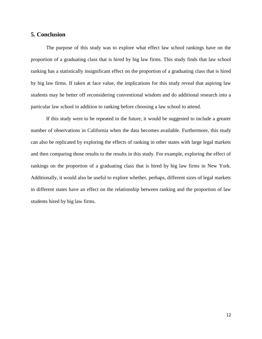#### **5. Conclusion**

The purpose of this study was to explore what effect law school rankings have on the proportion of a graduating class that is hired by big law firms. This study finds that law school ranking has a statistically insignificant effect on the proportion of a graduating class that is hired by big law firms. If taken at face value, the implications for this study reveal that aspiring law students may be better off reconsidering conventional wisdom and do additional research into a particular law school in addition to ranking before choosing a law school to attend.

If this study were to be repeated in the future, it would be suggested to include a greater number of observations in California when the data becomes available. Furthermore, this study can also be replicated by exploring the effects of ranking in other states with large legal markets and then comparing those results to the results in this study. For example, exploring the effect of rankings on the proportion of a graduating class that is hired by big law firms in New York. Additionally, it would also be useful to explore whether, perhaps, different sizes of legal markets in different states have an effect on the relationship between ranking and the proportion of law students hired by big law firms.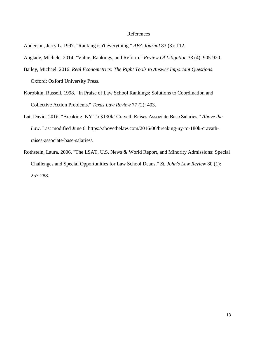#### References

Anderson, Jerry L. 1997. "Ranking isn't everything." *ABA Journal* 83 (3): 112.

- Anglade, Michele. 2014. "Value, Rankings, and Reform." *Review Of Litigation* 33 (4): 905-920.
- Bailey, Michael. 2016. *Real Econometrics: The Right Tools to Answer Important Questions*. Oxford: Oxford University Press.
- Korobkin, Russell. 1998. "In Praise of Law School Rankings: Solutions to Coordination and Collective Action Problems." *Texas Law Review* 77 (2): 403.
- Lat, David. 2016. "Breaking: NY To \$180k! Cravath Raises Associate Base Salaries." *Above the Law*. Last modified June 6. https://abovethelaw.com/2016/06/breaking-ny-to-180k-cravathraises-associate-base-salaries/.
- Rothstein, Laura. 2006. "The LSAT, U.S. News & World Report, and Minority Admissions: Special Challenges and Special Opportunities for Law School Deans." *St. John's Law Review* 80 (1): 257-288.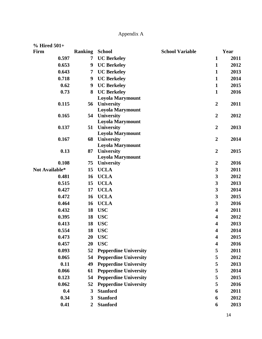## Appendix A

| $%$ Hired 501+ |                       |                                          |                        |                         |      |
|----------------|-----------------------|------------------------------------------|------------------------|-------------------------|------|
| Firm           | <b>Ranking School</b> |                                          | <b>School Variable</b> |                         | Year |
| 0.597          | 7                     | <b>UC Berkeley</b>                       |                        | $\mathbf{1}$            | 2011 |
| 0.653          | 9                     | <b>UC Berkeley</b>                       |                        | $\mathbf{1}$            | 2012 |
| 0.643          | 7                     | <b>UC Berkeley</b>                       |                        | $\mathbf{1}$            | 2013 |
| 0.718          | 9                     | <b>UC Berkeley</b>                       |                        | $\mathbf{1}$            | 2014 |
| 0.62           | 9                     | <b>UC Berkeley</b>                       |                        | $\mathbf{1}$            | 2015 |
| 0.73           | 8                     | <b>UC Berkeley</b>                       |                        | $\mathbf{1}$            | 2016 |
|                |                       | <b>Loyola Marymount</b>                  |                        |                         |      |
| 0.115          |                       | 56 University                            |                        | $\overline{2}$          | 2011 |
|                |                       | <b>Loyola Marymount</b>                  |                        |                         |      |
| 0.165          |                       | 54 University<br><b>Loyola Marymount</b> |                        | $\overline{2}$          | 2012 |
| 0.137          | 51                    | <b>University</b>                        |                        | $\boldsymbol{2}$        | 2013 |
|                |                       | <b>Loyola Marymount</b>                  |                        |                         |      |
| 0.167          |                       | 68 University                            |                        | $\overline{2}$          | 2014 |
|                |                       | <b>Loyola Marymount</b>                  |                        |                         |      |
| 0.13           | 87                    | <b>University</b>                        |                        | $\overline{2}$          | 2015 |
|                |                       | <b>Loyola Marymount</b>                  |                        |                         |      |
| 0.108          | 75                    | <b>University</b>                        |                        | $\boldsymbol{2}$        | 2016 |
| Not Available* | 15                    | <b>UCLA</b>                              |                        | 3                       | 2011 |
| 0.481          | 16                    | <b>UCLA</b>                              |                        | 3                       | 2012 |
| 0.515          | 15                    | <b>UCLA</b>                              |                        | 3                       | 2013 |
| 0.427          | 17                    | <b>UCLA</b>                              |                        | 3                       | 2014 |
| 0.472          | 16                    | <b>UCLA</b>                              |                        | 3                       | 2015 |
| 0.464          | 16                    | <b>UCLA</b>                              |                        | 3                       | 2016 |
| 0.432          | 18                    | <b>USC</b>                               |                        | 4                       | 2011 |
| 0.395          | 18                    | <b>USC</b>                               |                        | $\overline{\mathbf{4}}$ | 2012 |
| 0.413          | 18                    | <b>USC</b>                               |                        | 4                       | 2013 |
| 0.554          | 18                    | <b>USC</b>                               |                        | 4                       | 2014 |
| 0.473          | 20                    | <b>USC</b>                               |                        | 4                       | 2015 |
| 0.457          | 20                    | <b>USC</b>                               |                        | 4                       | 2016 |
| 0.093          | 52                    | <b>Pepperdine University</b>             |                        | 5                       | 2011 |
| 0.065          | 54                    | <b>Pepperdine University</b>             |                        | 5                       | 2012 |
| 0.11           | 49                    | <b>Pepperdine University</b>             |                        | 5                       | 2013 |
| 0.066          | 61                    | <b>Pepperdine University</b>             |                        | 5                       | 2014 |
| 0.123          | 54                    | <b>Pepperdine University</b>             |                        | 5                       | 2015 |
| 0.062          | 52                    | <b>Pepperdine University</b>             |                        | 5                       | 2016 |
| 0.4            | 3                     | <b>Stanford</b>                          |                        | 6                       | 2011 |
| 0.34           | 3                     | <b>Stanford</b>                          |                        | 6                       | 2012 |
| 0.41           | $\overline{2}$        | <b>Stanford</b>                          |                        | 6                       | 2013 |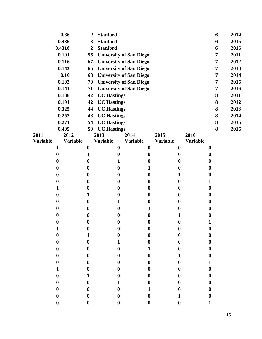|                 | 0.36                  | $\boldsymbol{2}$      | <b>Stanford</b>                      |                                |                 |                                      |                 |                      | 6              | 2014 |
|-----------------|-----------------------|-----------------------|--------------------------------------|--------------------------------|-----------------|--------------------------------------|-----------------|----------------------|----------------|------|
|                 | 0.436                 | 3                     | <b>Stanford</b>                      |                                |                 |                                      |                 |                      | 6              | 2015 |
|                 | 0.4318                | $\overline{2}$        | <b>Stanford</b>                      |                                |                 |                                      |                 |                      | 6              | 2016 |
|                 | 0.101                 | 56                    |                                      | <b>University of San Diego</b> |                 |                                      |                 |                      | 7              | 2011 |
|                 | 0.116                 | 67                    |                                      | <b>University of San Diego</b> |                 |                                      |                 |                      | $\overline{7}$ | 2012 |
|                 | 0.143                 | 65                    |                                      | <b>University of San Diego</b> |                 |                                      |                 |                      | $\overline{7}$ | 2013 |
|                 | 0.16                  | 68                    |                                      | <b>University of San Diego</b> |                 |                                      |                 |                      | $\overline{7}$ | 2014 |
|                 | 0.102                 | 79                    |                                      | <b>University of San Diego</b> |                 |                                      |                 |                      | 7              | 2015 |
|                 | 0.141                 | 71                    |                                      | <b>University of San Diego</b> |                 |                                      |                 |                      | $\overline{7}$ | 2016 |
|                 | 0.186                 | 42                    | <b>UC Hastings</b>                   |                                |                 |                                      |                 |                      | 8              | 2011 |
|                 | 0.191                 | 42                    |                                      | <b>UC Hastings</b>             |                 |                                      |                 |                      |                | 2012 |
|                 | 0.325                 | 44                    |                                      | <b>UC Hastings</b>             |                 |                                      |                 |                      |                | 2013 |
|                 | 0.252                 | 48                    |                                      | <b>UC Hastings</b>             |                 |                                      |                 |                      |                | 2014 |
|                 | 0.271                 | 54                    | <b>UC Hastings</b>                   |                                |                 |                                      |                 |                      | 8              | 2015 |
|                 | 0.405                 | 59                    | <b>UC Hastings</b>                   |                                |                 |                                      |                 |                      | 8              | 2016 |
| 2011            | 2012                  |                       | 2013                                 | 2014                           | 2015            |                                      | 2016            |                      |                |      |
| <b>Variable</b> | <b>Variable</b>       |                       | <b>Variable</b>                      | <b>Variable</b>                | <b>Variable</b> |                                      | <b>Variable</b> |                      |                |      |
|                 | $\mathbf{1}$          | $\boldsymbol{0}$      | $\bf{0}$                             | $\boldsymbol{0}$               |                 | $\boldsymbol{0}$                     |                 | $\boldsymbol{0}$     |                |      |
|                 | $\boldsymbol{0}$      | $\mathbf{1}$          | $\boldsymbol{0}$                     | $\boldsymbol{0}$               |                 | $\boldsymbol{0}$                     |                 | $\boldsymbol{0}$     |                |      |
|                 | 0                     | $\bf{0}$              | 1                                    | $\boldsymbol{0}$               |                 | $\boldsymbol{0}$                     |                 | $\bf{0}$             |                |      |
|                 | 0                     | $\boldsymbol{0}$      | $\boldsymbol{0}$                     | 1                              |                 | $\boldsymbol{0}$                     |                 | $\boldsymbol{0}$     |                |      |
|                 | $\boldsymbol{0}$      | $\boldsymbol{0}$      | $\boldsymbol{0}$                     | $\boldsymbol{0}$               |                 | 1                                    |                 | $\bf{0}$             |                |      |
|                 | $\boldsymbol{0}$      | $\boldsymbol{0}$      | $\boldsymbol{0}$                     | $\boldsymbol{0}$               |                 | $\boldsymbol{0}$                     |                 | 1                    |                |      |
|                 | 1<br>$\boldsymbol{0}$ | $\boldsymbol{0}$      | $\boldsymbol{0}$<br>$\boldsymbol{0}$ | $\boldsymbol{0}$               |                 | $\boldsymbol{0}$                     |                 | $\boldsymbol{0}$     |                |      |
|                 | $\bf{0}$              | 1<br>$\boldsymbol{0}$ | 1                                    | $\boldsymbol{0}$<br>$\bf{0}$   |                 | $\boldsymbol{0}$<br>$\boldsymbol{0}$ |                 | $\bf{0}$<br>$\bf{0}$ |                |      |
|                 | 0                     | $\boldsymbol{0}$      | $\boldsymbol{0}$                     | 1                              |                 | $\boldsymbol{0}$                     |                 | $\boldsymbol{0}$     |                |      |
|                 | 0                     | $\boldsymbol{0}$      | $\boldsymbol{0}$                     | $\boldsymbol{0}$               |                 | 1                                    |                 | $\boldsymbol{0}$     |                |      |
|                 | $\boldsymbol{0}$      | $\bf{0}$              | $\bf{0}$                             | $\boldsymbol{0}$               |                 | $\bf{0}$                             |                 |                      |                |      |
|                 | $\mathbf 1$           | $\boldsymbol{0}$      | $\bf{0}$                             | $\boldsymbol{0}$               |                 | $\bf{0}$                             |                 | $\boldsymbol{0}$     |                |      |
|                 | $\bf{0}$              | 1                     | 0                                    | $\boldsymbol{0}$               |                 | 0                                    |                 | $\boldsymbol{0}$     |                |      |
|                 | $\boldsymbol{0}$      | $\boldsymbol{0}$      | 1                                    | $\boldsymbol{0}$               |                 | 0                                    |                 | $\boldsymbol{0}$     |                |      |
|                 | $\boldsymbol{0}$      | $\boldsymbol{0}$      | $\boldsymbol{0}$                     | $\mathbf{1}$                   |                 | 0                                    |                 | $\boldsymbol{0}$     |                |      |
|                 | $\bf{0}$              | $\boldsymbol{0}$      | $\boldsymbol{0}$                     | $\boldsymbol{0}$               |                 | 1                                    |                 | $\boldsymbol{0}$     |                |      |
|                 | $\boldsymbol{0}$      | $\boldsymbol{0}$      | $\boldsymbol{0}$                     | $\boldsymbol{0}$               |                 | $\bf{0}$                             |                 | 1                    |                |      |
|                 | $\mathbf{1}$          | $\boldsymbol{0}$      | 0                                    | $\boldsymbol{0}$               |                 | $\boldsymbol{0}$                     |                 | $\boldsymbol{0}$     |                |      |
|                 | $\boldsymbol{0}$      | $\mathbf{1}$          | $\boldsymbol{0}$                     | $\boldsymbol{0}$               |                 | 0                                    |                 | $\boldsymbol{0}$     |                |      |
|                 | $\bf{0}$              | $\boldsymbol{0}$      | $\mathbf{1}$                         | $\boldsymbol{0}$               |                 | 0                                    |                 | $\boldsymbol{0}$     |                |      |
|                 | $\bf{0}$              | $\boldsymbol{0}$      | $\boldsymbol{0}$                     | $\mathbf{1}$                   |                 | 0                                    |                 | $\boldsymbol{0}$     |                |      |
|                 | $\boldsymbol{0}$      | $\boldsymbol{0}$      | 0                                    | $\boldsymbol{0}$               |                 | 1                                    |                 | $\boldsymbol{0}$     |                |      |
|                 | $\bf{0}$              | $\boldsymbol{0}$      | $\bf{0}$                             | $\boldsymbol{0}$               |                 | $\bf{0}$                             |                 | 1                    |                |      |
|                 |                       |                       |                                      |                                |                 |                                      |                 |                      |                |      |